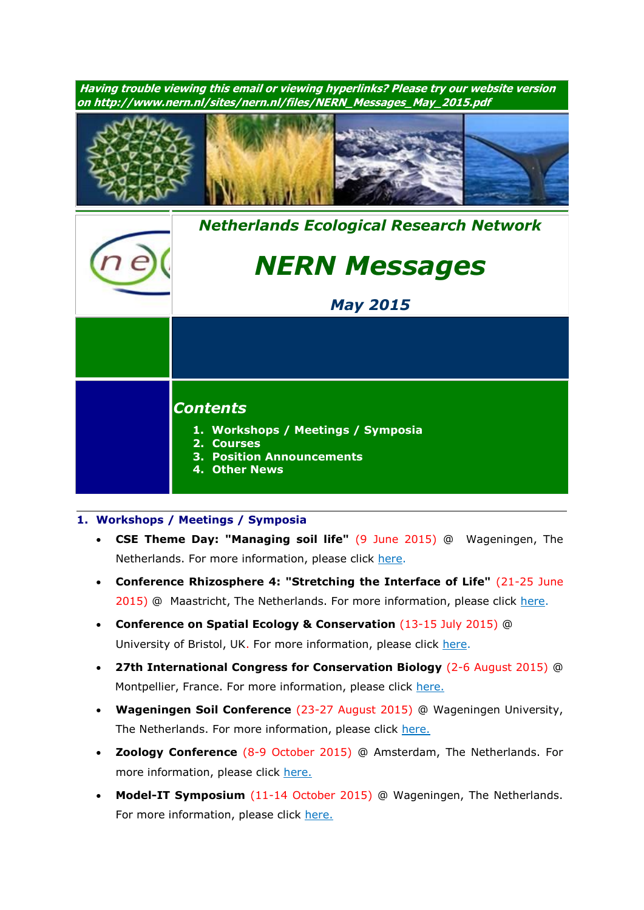**Having trouble viewing this email or viewing hyperlinks? Please try our website version on http://www.nern.nl/sites/nern.nl/files/NERN\_Messages\_May\_2015.pdf** *[Nethe](http://www.nern.nl/)rlands Ecological Research Network NERN Messages May 2015 Contents* **1. Workshops / Meetings / Symposia 2. Courses 3. Position Announcements 4. Other News**

## **1. Workshops / Meetings / Symposia**

- **CSE Theme Day: "Managing soil life"** (9 June 2015) @ Wageningen, The Netherlands. For more information, please click [here.](http://soilecology.eu/node/192)
- **Conference Rhizosphere 4: "Stretching the Interface of Life"** (21-25 June 2015) @ Maastricht, The Netherlands. For more information, please click [here.](http://www.rhizo4.org/)
- **Conference on Spatial Ecology & Conservation** (13-15 July 2015) @ University of Bristol, UK. For more information, please click [here.](http://www.ert-conservation.co.uk/sec3_introduction.php)
- **27th International Congress for Conservation Biology** (2-6 August 2015) @ Montpellier, France. For more information, please click [here.](http://www.iccb-eccb2015.org/)
- **Wageningen Soil Conference** (23-27 August 2015) @ Wageningen University, The Netherlands. For more information, please click [here.](http://www.wageningenur.nl/en/Research-Results/Projects-and-programmes/Wageningen-Soil-Conference.htm)
- **Zoology Conference** (8-9 October 2015) @ Amsterdam, The Netherlands. For more information, please click [here.](http://www.zoology2015.nl/)
- **Model-IT Symposium** (11-14 October 2015) @ Wageningen, The Netherlands. For more information, please click [here.](http://www.model-it.info/)